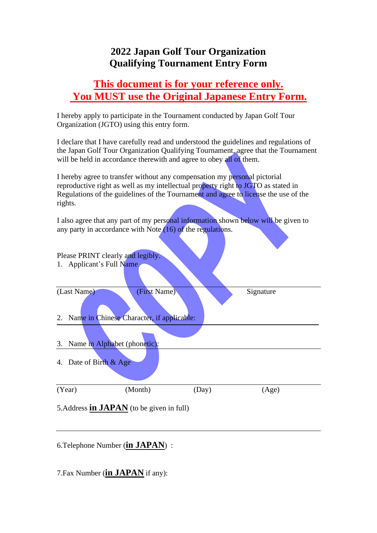## **2022 Japan Golf Tour Organization Qualifying Tournament Entry Form**

## **This document is for your reference only. You MUST use the Original Japanese Entry Form.**

I hereby apply to participate in the Tournament conducted by Japan Golf Tour Organization (JGTO) using this entry form.

I declare that I have carefully read and understood the guidelines and regulations of the Japan Golf Tour Organization Qualifying Tournament, agree that the Tournament will be held in accordance therewith and agree to obey all of them.

I hereby agree to transfer without any compensation my personal pictorial reproductive right as well as my intellectual property right to JGTO as stated in Regulations of the guidelines of the Tournament and agree to license the use of the rights.

I also agree that any part of my personal information shown below will be given to any party in accordance with Note  $(16)$  of the regulations.

| Please PRINT clearly and legibly. |                                                  |       |           |  |
|-----------------------------------|--------------------------------------------------|-------|-----------|--|
| 1. Applicant's Full Name          |                                                  |       |           |  |
| (Last Name)                       | (First Name)                                     |       | Signature |  |
|                                   | 2. Name in Chinese Character, if applicable:     |       |           |  |
| 3. Name in Alphabet (phonetic):   |                                                  |       |           |  |
| 4. Date of Birth & Age            |                                                  |       |           |  |
| (Year)                            | (Month)                                          | (Day) | (Age)     |  |
|                                   | 5. Address <b>in JAPAN</b> (to be given in full) |       |           |  |

6.Telephone Number (**in JAPAN**) :

7.Fax Number (**in JAPAN** if any):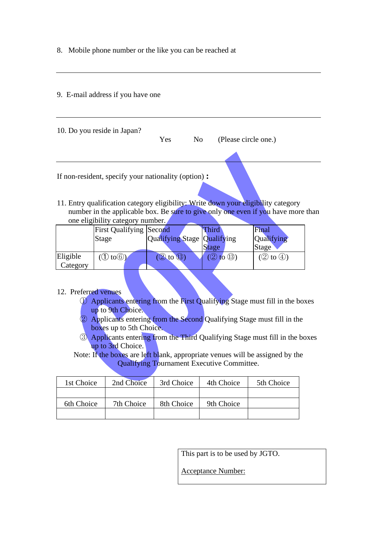8. Mobile phone number or the like you can be reached at

#### 9. E-mail address if you have one

| 10. Do you reside in Japan? |     |                |                      |  |
|-----------------------------|-----|----------------|----------------------|--|
|                             | Yes | N <sub>0</sub> | (Please circle one.) |  |
|                             |     |                |                      |  |

11. Entry qualification category eligibility: Write down your eligibility category number in the applicable box. Be sure to give only one even if you have more than one eligibility category number.

|          | <b>First Qualifying Second</b>           |                             | Third |           | Final                            |  |
|----------|------------------------------------------|-----------------------------|-------|-----------|----------------------------------|--|
|          | Stage                                    | Qualifying Stage Qualifying |       |           | Qualifying                       |  |
|          |                                          |                             | Stage |           | Stage                            |  |
| Eligible | $\textcircled{1}$ to $\textcircled{i}$ ) | (13)<br>$\circled{2}$ to    |       | to $(13)$ | $\circled{2}$ to $\circled{4}$ ) |  |
| Category |                                          |                             |       |           |                                  |  |

#### 12. Preferred venues

- ① Applicants entering from the First Qualifying Stage must fill in the boxes up to 9th Choice.
- ② Applicants entering from the Second Qualifying Stage must fill in the boxes up to 5th Choice.
- ③ Applicants entering from the Third Qualifying Stage must fill in the boxes up to 3rd Choice.

Note: If the boxes are left blank, appropriate venues will be assigned by the Qualifying Tournament Executive Committee.

| 1st Choice | 2nd Choice | 3rd Choice | 4th Choice | 5th Choice |
|------------|------------|------------|------------|------------|
|            |            |            |            |            |
| 6th Choice | 7th Choice | 8th Choice | 9th Choice |            |
|            |            |            |            |            |

This part is to be used by JGTO.

Acceptance Number: